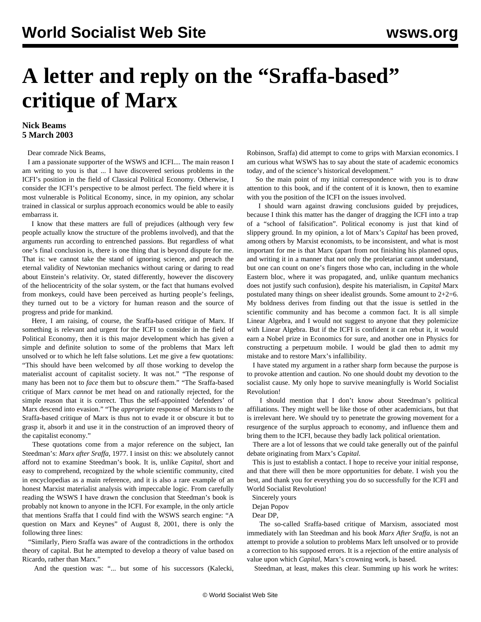## **A letter and reply on the "Sraffa-based" critique of Marx**

## **Nick Beams 5 March 2003**

Dear comrade Nick Beams,

 I am a passionate supporter of the WSWS and ICFI.... The main reason I am writing to you is that ... I have discovered serious problems in the ICFI's position in the field of Classical Political Economy. Otherwise, I consider the ICFI's perspective to be almost perfect. The field where it is most vulnerable is Political Economy, since, in my opinion, any scholar trained in classical or surplus approach economics would be able to easily embarrass it.

 I know that these matters are full of prejudices (although very few people actually know the structure of the problems involved), and that the arguments run according to entrenched passions. But regardless of what one's final conclusion is, there is one thing that is beyond dispute for me. That is: we cannot take the stand of ignoring science, and preach the eternal validity of Newtonian mechanics without caring or daring to read about Einstein's relativity. Or, stated differently, however the discovery of the heliocentricity of the solar system, or the fact that humans evolved from monkeys, could have been perceived as hurting people's feelings, they turned out to be a victory for human reason and the source of progress and pride for mankind.

 Here, I am raising, of course, the Sraffa-based critique of Marx. If something is relevant and urgent for the ICFI to consider in the field of Political Economy, then it is this major development which has given a simple and definite solution to some of the problems that Marx left unsolved or to which he left false solutions. Let me give a few quotations: "This should have been welcomed by *all* those working to develop the materialist account of capitalist society. It was not." "The response of many has been not to *face* them but to *obscure* them." "The Sraffa-based critique of Marx *cannot* be met head on and rationally rejected, for the simple reason that it is correct. Thus the self-appointed 'defenders' of Marx descend into evasion." "The *appropriate* response of Marxists to the Sraffa-based critique of Marx is thus not to evade it or obscure it but to grasp it, absorb it and use it in the construction of an improved theory of the capitalist economy."

 These quotations come from a major reference on the subject, Ian Steedman's: *Marx after Sraffa*, 1977. I insist on this: we absolutely cannot afford not to examine Steedman's book. It is, unlike *Capital*, short and easy to comprehend, recognized by the whole scientific community, cited in encyclopedias as a main reference, and it is also a rare example of an honest Marxist materialist analysis with impeccable logic. From carefully reading the WSWS I have drawn the conclusion that Steedman's book is probably not known to anyone in the ICFI. For example, in the only article that mentions Sraffa that I could find with the WSWS search engine: "A question on Marx and Keynes" of August 8, 2001, there is only the following three lines:

 "Similarly, Piero Sraffa was aware of the contradictions in the orthodox theory of capital. But he attempted to develop a theory of value based on Ricardo, rather than Marx."

And the question was: "... but some of his successors (Kalecki,

Robinson, Sraffa) did attempt to come to grips with Marxian economics. I am curious what WSWS has to say about the state of academic economics today, and of the science's historical development."

 So the main point of my initial correspondence with you is to draw attention to this book, and if the content of it is known, then to examine with you the position of the ICFI on the issues involved.

 I should warn against drawing conclusions guided by prejudices, because I think this matter has the danger of dragging the ICFI into a trap of a "school of falsification". Political economy is just that kind of slippery ground. In my opinion, a lot of Marx's *Capital* has been proved, among others by Marxist economists, to be inconsistent, and what is most important for me is that Marx (apart from not finishing his planned opus, and writing it in a manner that not only the proletariat cannot understand, but one can count on one's fingers those who can, including in the whole Eastern bloc, where it was propagated, and, unlike quantum mechanics does not justify such confusion), despite his materialism, in *Capital* Marx postulated many things on sheer idealist grounds. Some amount to  $2+2=6$ . My boldness derives from finding out that the issue is settled in the scientific community and has become a common fact. It is all simple Linear Algebra, and I would not suggest to anyone that they polemicize with Linear Algebra. But if the ICFI is confident it can rebut it, it would earn a Nobel prize in Economics for sure, and another one in Physics for constructing a perpetuum mobile. I would be glad then to admit my mistake and to restore Marx's infallibility.

 I have stated my argument in a rather sharp form because the purpose is to provoke attention and caution. No one should doubt my devotion to the socialist cause. My only hope to survive meaningfully is World Socialist Revolution!

 I should mention that I don't know about Steedman's political affiliations. They might well be like those of other academicians, but that is irrelevant here. We should try to penetrate the growing movement for a resurgence of the surplus approach to economy, and influence them and bring them to the ICFI, because they badly lack political orientation.

 There are a lot of lessons that we could take generally out of the painful debate originating from Marx's *Capital*.

 This is just to establish a contact. I hope to receive your initial response, and that there will then be more opportunities for debate. I wish you the best, and thank you for everything you do so successfully for the ICFI and World Socialist Revolution!

Sincerely yours

Dejan Popov

Dear DP,

 The so-called Sraffa-based critique of Marxism, associated most immediately with Ian Steedman and his book *Marx After Sraffa*, is not an attempt to provide a solution to problems Marx left unsolved or to provide a correction to his supposed errors. It is a rejection of the entire analysis of value upon which *Capital*, Marx's crowning work, is based.

Steedman, at least, makes this clear. Summing up his work he writes: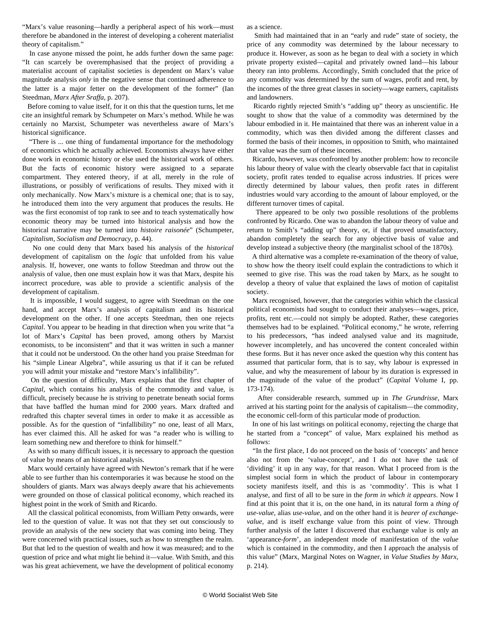"Marx's value reasoning—hardly a peripheral aspect of his work—must therefore be abandoned in the interest of developing a coherent materialist theory of capitalism."

 In case anyone missed the point, he adds further down the same page: "It can scarcely be overemphasised that the project of providing a materialist account of capitalist societies is dependent on Marx's value magnitude analysis *only* in the negative sense that continued adherence to the latter is a major fetter on the development of the former" (Ian Steedman, *Marx After Sraffa,* p. 207).

 Before coming to value itself, for it on this that the question turns, let me cite an insightful remark by Schumpeter on Marx's method. While he was certainly no Marxist, Schumpeter was nevertheless aware of Marx's historical significance.

 "There is ... one thing of fundamental importance for the methodology of economics which he actually achieved. Economists always have either done work in economic history or else used the historical work of others. But the facts of economic history were assigned to a separate compartment. They entered theory, if at all, merely in the role of illustrations, or possibly of verifications of results. They mixed with it only mechanically. Now Marx's mixture is a chemical one; that is to say, he introduced them into the very argument that produces the results. He was the first economist of top rank to see and to teach systematically how economic theory may be turned into historical analysis and how the historical narrative may be turned into *histoire raisonée*" (Schumpeter, *Capitalism, Socialism and Democracy*, p. 44).

 No one could deny that Marx based his analysis of the *historical* development of capitalism on the *logic* that unfolded from his value analysis. If, however, one wants to follow Steedman and throw out the analysis of value, then one must explain how it was that Marx, despite his incorrect procedure, was able to provide a scientific analysis of the development of capitalism.

 It is impossible, I would suggest, to agree with Steedman on the one hand, and accept Marx's analysis of capitalism and its historical development on the other. If one accepts Steedman, then one rejects *Capital*. You appear to be heading in that direction when you write that "a lot of Marx's *Capital* has been proved, among others by Marxist economists, to be inconsistent" and that it was written in such a manner that it could not be understood. On the other hand you praise Steedman for his "simple Linear Algebra", while assuring us that if it can be refuted you will admit your mistake and "restore Marx's infallibility".

 On the question of difficulty, Marx explains that the first chapter of *Capital*, which contains his analysis of the commodity and value, is difficult, precisely because he is striving to penetrate beneath social forms that have baffled the human mind for 2000 years. Marx drafted and redrafted this chapter several times in order to make it as accessible as possible. As for the question of "infallibility" no one, least of all Marx, has ever claimed this. All he asked for was "a reader who is willing to learn something new and therefore to think for himself."

 As with so many difficult issues, it is necessary to approach the question of value by means of an historical analysis.

 Marx would certainly have agreed with Newton's remark that if he were able to see further than his contemporaries it was because he stood on the shoulders of giants. Marx was always deeply aware that his achievements were grounded on those of classical political economy, which reached its highest point in the work of Smith and Ricardo.

 All the classical political economists, from William Petty onwards, were led to the question of value. It was not that they set out consciously to provide an analysis of the new society that was coming into being. They were concerned with practical issues, such as how to strengthen the realm. But that led to the question of wealth and how it was measured; and to the question of price and what might lie behind it—value. With Smith, and this was his great achievement, we have the development of political economy

as a science.

 Smith had maintained that in an "early and rude" state of society, the price of any commodity was determined by the labour necessary to produce it. However, as soon as he began to deal with a society in which private property existed—capital and privately owned land—his labour theory ran into problems. Accordingly, Smith concluded that the price of any commodity was determined by the sum of wages, profit and rent, by the incomes of the three great classes in society—wage earners, capitalists and landowners.

 Ricardo rightly rejected Smith's "adding up" theory as unscientific. He sought to show that the value of a commodity was determined by the labour embodied in it. He maintained that there was an inherent value in a commodity, which was then divided among the different classes and formed the basis of their incomes, in opposition to Smith, who maintained that value was the sum of these incomes.

 Ricardo, however, was confronted by another problem: how to reconcile his labour theory of value with the clearly observable fact that in capitalist society, profit rates tended to equalise across industries. If prices were directly determined by labour values, then profit rates in different industries would vary according to the amount of labour employed, or the different turnover times of capital.

 There appeared to be only two possible resolutions of the problems confronted by Ricardo. One was to abandon the labour theory of value and return to Smith's "adding up" theory, or, if that proved unsatisfactory, abandon completely the search for any objective basis of value and develop instead a subjective theory (the marginalist school of the 1870s).

 A third alternative was a complete re-examination of the theory of value, to show how the theory itself could explain the contradictions to which it seemed to give rise. This was the road taken by Marx, as he sought to develop a theory of value that explained the laws of motion of capitalist society.

 Marx recognised, however, that the categories within which the classical political economists had sought to conduct their analyses—wages, price, profits, rent etc.—could not simply be adopted. Rather, these categories themselves had to be explained. "Political economy," he wrote, referring to his predecessors, "has indeed analysed value and its magnitude, however incompletely, and has uncovered the content concealed within these forms. But it has never once asked the question why this content has assumed that particular form, that is to say, why labour is expressed in value, and why the measurement of labour by its duration is expressed in the magnitude of the value of the product" (*Capital* Volume I, pp. 173-174).

 After considerable research, summed up in *The Grundrisse*, Marx arrived at his starting point for the analysis of capitalism—the commodity, the economic cell-form of this particular mode of production.

 In one of his last writings on political economy, rejecting the charge that he started from a "concept" of value, Marx explained his method as follows:

 "In the first place, I do not proceed on the basis of 'concepts' and hence also not from the 'value-concept', and I do not have the task of 'dividing' it up in any way, for that reason. What I proceed from is the simplest social form in which the product of labour in contemporary society manifests itself, and this is as 'commodity'. This is what I analyse, and first of all to be sure in the *form in which it appears*. Now I find at this point that it is, on the one hand, in its natural form a *thing of use-value*, alias *use-value*, and on the other hand it is *bearer of exchangevalue*, and is itself exchange value from this point of view. Through further analysis of the latter I discovered that exchange value is only an 'appearance-*form*', an independent mode of manifestation of the *value* which is contained in the commodity, and then I approach the analysis of this value" (Marx, Marginal Notes on Wagner, in *Value Studies by Marx*, p. 214).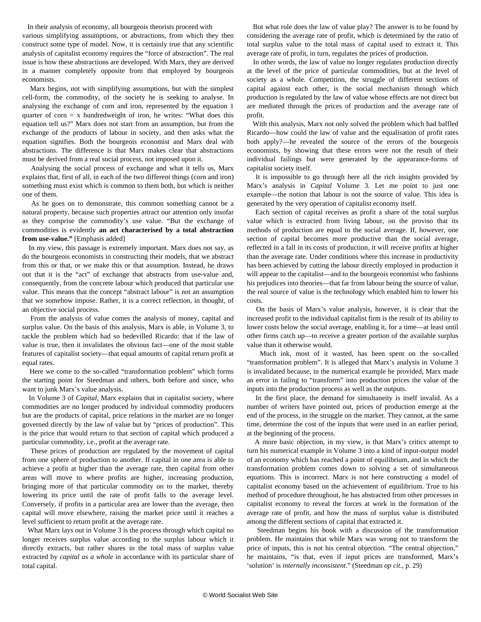In their analysis of economy, all bourgeois theorists proceed with various simplifying assumptions, or abstractions, from which they then construct some type of model. Now, it is certainly true that any scientific analysis of capitalist economy requires the "force of abstraction". The real issue is how these abstractions are developed. With Marx, they are derived in a manner completely opposite from that employed by bourgeois economists.

 Marx begins, not with simplifying assumptions, but with the simplest cell-form, the commodity, of the society he is seeking to analyse. In analysing the exchange of corn and iron, represented by the equation 1 quarter of corn  $= x$  hundredweight of iron, he writes: "What does this equation tell us?" Marx does not start from an assumption, but from the exchange of the products of labour in society, and then asks what the equation signifies. Both the bourgeois economist and Marx deal with abstractions. The difference is that Marx makes clear that abstractions must be derived from a real social process, not imposed upon it.

 Analysing the social process of exchange and what it tells us, Marx explains that, first of all, in each of the two different things (corn and iron) something must exist which is common to them both, but which is neither one of them.

 As he goes on to demonstrate, this common something cannot be a natural property, because such properties attract our attention only insofar as they comprise the commodity's use value. "But the exchange of commodities is evidently **an act characterised by a total abstraction from use-value."** [Emphasis added]

 In my view, this passage is extremely important. Marx does not say, as do the bourgeois economists in constructing their models, that we abstract from this or that, or we make this or that assumption. Instead, he draws out that it is the "act" of exchange that abstracts from use-value and, consequently, from the concrete labour which produced that particular use value. This means that the concept "abstract labour" is not an assumption that we somehow impose. Rather, it is a correct reflection, in thought, of an objective social process.

 From the analysis of value comes the analysis of money, capital and surplus value. On the basis of this analysis, Marx is able, in Volume 3, to tackle the problem which had so bedevilled Ricardo: that if the law of value is true, then it invalidates the obvious fact—one of the most stable features of capitalist society—that equal amounts of capital return profit at equal rates.

 Here we come to the so-called "transformation problem" which forms the starting point for Steedman and others, both before and since, who want to junk Marx's value analysis.

 In Volume 3 of *Capital*, Marx explains that in capitalist society, where commodities are no longer produced by individual commodity producers but are the products of capital, price relations in the market are no longer governed directly by the law of value but by "prices of production". This is the price that would return to that section of capital which produced a particular commodity, i.e., profit at the average rate.

 These prices of production are regulated by the movement of capital from one sphere of production to another. If capital in one area is able to achieve a profit at higher than the average rate, then capital from other areas will move to where profits are higher, increasing production, bringing more of that particular commodity on to the market, thereby lowering its price until the rate of profit falls to the average level. Conversely, if profits in a particular area are lower than the average, then capital will move elsewhere, raising the market price until it reaches a level sufficient to return profit at the average rate.

 What Marx lays out in Volume 3 is the process through which capital no longer receives surplus value according to the surplus labour which it directly extracts, but rather shares in the total mass of surplus value extracted by *capital as a whole* in accordance with its particular share of total capital.

 But what role does the law of value play? The answer is to be found by considering the average rate of profit, which is determined by the ratio of total surplus value to the total mass of capital used to extract it. This average rate of profit, in turn, regulates the prices of production.

 In other words, the law of value no longer regulates production directly at the level of the price of particular commodities, but at the level of society as a whole. Competition, the struggle of different sections of capital against each other, is the social mechanism through which production is regulated by the law of value whose effects are not direct but are mediated through the prices of production and the average rate of profit.

 With this analysis, Marx not only solved the problem which had baffled Ricardo—how could the law of value and the equalisation of profit rates both apply?—he revealed the source of the errors of the bourgeois economists, by showing that these errors were not the result of their individual failings but were generated by the appearance-forms of capitalist society itself.

 It is impossible to go through here all the rich insights provided by Marx's analysis in *Capital* Volume 3. Let me point to just one example—the notion that labour is not the source of value. This idea is generated by the very operation of capitalist economy itself.

 Each section of capital receives as profit a share of the total surplus value which is extracted from living labour, on the proviso that its methods of production are equal to the social average. If, however, one section of capital becomes more productive than the social average, reflected in a fall in its costs of production, it will receive profits at higher than the average rate. Under conditions where this increase in productivity has been achieved by cutting the labour directly employed in production it will appear to the capitalist—and to the bourgeois economist who fashions his prejudices into theories—that far from labour being the source of value, the real source of value is the technology which enabled him to lower his costs.

 On the basis of Marx's value analysis, however, it is clear that the increased profit to the individual capitalist firm is the result of its ability to lower costs below the social average, enabling it, for a time—at least until other firms catch up—to receive a greater portion of the available surplus value than it otherwise would.

 Much ink, most of it wasted, has been spent on the so-called "transformation problem". It is alleged that Marx's analysis in Volume 3 is invalidated because, in the numerical example he provided, Marx made an error in failing to "transform" into production prices the value of the inputs into the production process as well as the outputs.

 In the first place, the demand for simultaneity is itself invalid. As a number of writers have pointed out, prices of production emerge at the end of the process, in the struggle on the market. They cannot, at the same time, determine the cost of the inputs that were used in an earlier period, at the beginning of the process.

 A more basic objection, in my view, is that Marx's critics attempt to turn his numerical example in Volume 3 into a kind of input-output model of an economy which has reached a point of equilibrium, and in which the transformation problem comes down to solving a set of simultaneous equations. This is incorrect. Marx is not here constructing a model of capitalist economy based on the achievement of equilibrium. True to his method of procedure throughout, he has abstracted from other processes in capitalist economy to reveal the forces at work in the formation of the average rate of profit, and how the mass of surplus value is distributed among the different sections of capital that extracted it.

 Steedman begins his book with a discussion of the transformation problem. He maintains that while Marx was wrong not to transform the price of inputs, this is not his central objection. "The central objection," he maintains, "is that, even if input prices are transformed, Marx's 'solution' is *internally inconsistent*." (Steedman *op cit.*, p. 29)